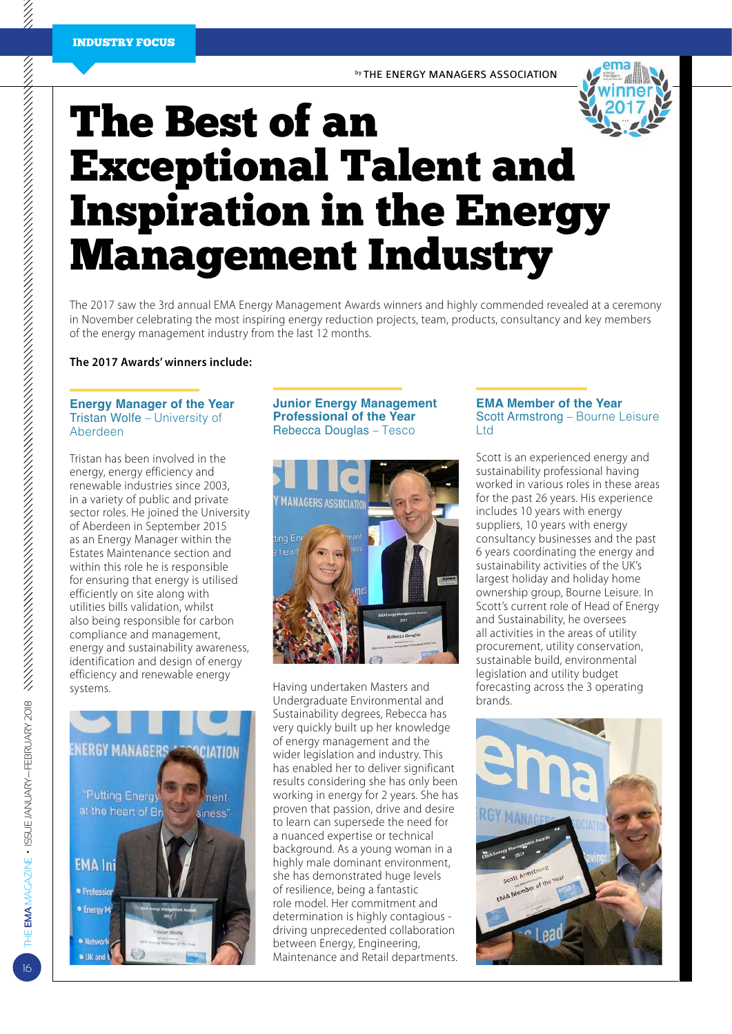by THE ENERGY MANAGERS ASSOCIATION

# The Best of an Exceptional Talent and Inspiration in the Energy Management Industry

The 2017 saw the 3rd annual EMA Energy Management Awards winners and highly commended revealed at a ceremony in November celebrating the most inspiring energy reduction projects, team, products, consultancy and key members of the energy management industry from the last 12 months.

**The 2017 Awards' winners include:**

#### **Energy Manager of the Year** Tristan Wolfe – University of Aberdeen

Tristan has been involved in the energy, energy efficiency and renewable industries since 2003, in a variety of public and private sector roles. He joined the University of Aberdeen in September 2015 as an Energy Manager within the Estates Maintenance section and within this role he is responsible for ensuring that energy is utilised efficiently on site along with utilities bills validation, whilst also being responsible for carbon compliance and management, energy and sustainability awareness, identification and design of energy efficiency and renewable energy systems.



# **Junior Energy Management Professional of the Year** Rebecca Douglas – Tesco



Having undertaken Masters and Undergraduate Environmental and Sustainability degrees, Rebecca has very quickly built up her knowledge of energy management and the wider legislation and industry. This has enabled her to deliver significant results considering she has only been working in energy for 2 years. She has proven that passion, drive and desire to learn can supersede the need for a nuanced expertise or technical background. As a young woman in a highly male dominant environment, she has demonstrated huge levels of resilience, being a fantastic role model. Her commitment and determination is highly contagious driving unprecedented collaboration between Energy, Engineering, Maintenance and Retail departments.

### **EMA Member of the Year** Scott Armstrong – Bourne Leisure Ltd

Scott is an experienced energy and sustainability professional having worked in various roles in these areas for the past 26 years. His experience includes 10 years with energy suppliers, 10 years with energy consultancy businesses and the past 6 years coordinating the energy and sustainability activities of the UK's largest holiday and holiday home ownership group, Bourne Leisure. In Scott's current role of Head of Energy and Sustainability, he oversees all activities in the areas of utility procurement, utility conservation, sustainable build, environmental legislation and utility budget forecasting across the 3 operating brands.



16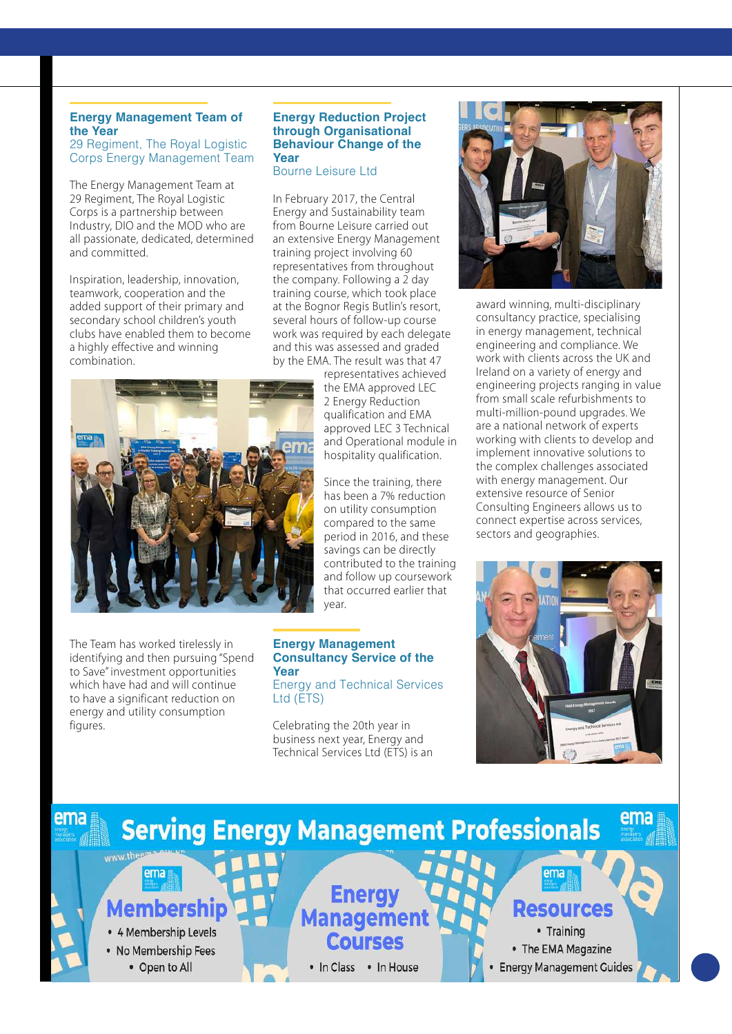# **Energy Management Team of the Year**

29 Regiment, The Royal Logistic Corps Energy Management Team

The Energy Management Team at 29 Regiment, The Royal Logistic Corps is a partnership between Industry, DIO and the MOD who are all passionate, dedicated, determined and committed.

Inspiration, leadership, innovation, teamwork, cooperation and the added support of their primary and secondary school children's youth clubs have enabled them to become a highly effective and winning combination.

#### **Energy Reduction Project through Organisational Behaviour Change of the Year**

Bourne Leisure Ltd

In February 2017, the Central Energy and Sustainability team from Bourne Leisure carried out an extensive Energy Management training project involving 60 representatives from throughout the company. Following a 2 day training course, which took place at the Bognor Regis Butlin's resort, several hours of follow-up course work was required by each delegate and this was assessed and graded by the EMA. The result was that 47

representatives achieved the EMA approved LEC 2 Energy Reduction qualification and EMA approved LEC 3 Technical and Operational module in hospitality qualification.

> Since the training, there has been a 7% reduction on utility consumption compared to the same period in 2016, and these savings can be directly contributed to the training and follow up coursework that occurred earlier that year.

#### **Energy Management Consultancy Service of the Year**

Energy and Technical Services Ltd (ETS)

Celebrating the 20th year in business next year, Energy and Technical Services Ltd (ETS) is an



award winning, multi-disciplinary consultancy practice, specialising in energy management, technical engineering and compliance. We work with clients across the UK and Ireland on a variety of energy and engineering projects ranging in value from small scale refurbishments to multi-million-pound upgrades. We are a national network of experts working with clients to develop and implement innovative solutions to the complex challenges associated with energy management. Our extensive resource of Senior Consulting Engineers allows us to connect expertise across services, sectors and geographies.



#### ema **Serving Energy Management Professionals** www.ther ema ema Enerc Membershir **Resources Managem** • Training • 4 Membership Levels **Courses** • The EMA Magazine • No Membership Fees • Open to All • In Class • In House **Energy Management Guides**



The Team has worked tirelessly in identifying and then pursuing "Spend to Save" investment opportunities which have had and will continue to have a significant reduction on energy and utility consumption figures.